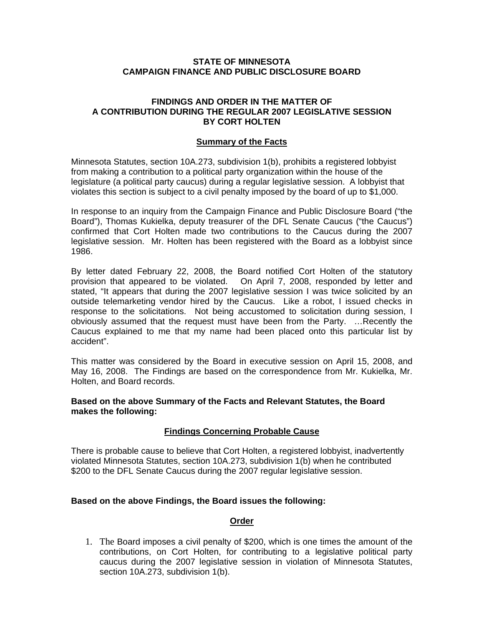### **STATE OF MINNESOTA CAMPAIGN FINANCE AND PUBLIC DISCLOSURE BOARD**

# **FINDINGS AND ORDER IN THE MATTER OF A CONTRIBUTION DURING THE REGULAR 2007 LEGISLATIVE SESSION BY CORT HOLTEN**

#### **Summary of the Facts**

Minnesota Statutes, section 10A.273, subdivision 1(b), prohibits a registered lobbyist from making a contribution to a political party organization within the house of the legislature (a political party caucus) during a regular legislative session. A lobbyist that violates this section is subject to a civil penalty imposed by the board of up to \$1,000.

In response to an inquiry from the Campaign Finance and Public Disclosure Board ("the Board"), Thomas Kukielka, deputy treasurer of the DFL Senate Caucus ("the Caucus") confirmed that Cort Holten made two contributions to the Caucus during the 2007 legislative session. Mr. Holten has been registered with the Board as a lobbyist since 1986.

By letter dated February 22, 2008, the Board notified Cort Holten of the statutory provision that appeared to be violated. On April 7, 2008, responded by letter and stated, "It appears that during the 2007 legislative session I was twice solicited by an outside telemarketing vendor hired by the Caucus. Like a robot, I issued checks in response to the solicitations. Not being accustomed to solicitation during session, I obviously assumed that the request must have been from the Party. …Recently the Caucus explained to me that my name had been placed onto this particular list by accident".

This matter was considered by the Board in executive session on April 15, 2008, and May 16, 2008. The Findings are based on the correspondence from Mr. Kukielka, Mr. Holten, and Board records.

### **Based on the above Summary of the Facts and Relevant Statutes, the Board makes the following:**

# **Findings Concerning Probable Cause**

There is probable cause to believe that Cort Holten, a registered lobbyist, inadvertently violated Minnesota Statutes, section 10A.273, subdivision 1(b) when he contributed \$200 to the DFL Senate Caucus during the 2007 regular legislative session.

# **Based on the above Findings, the Board issues the following:**

### **Order**

1. The Board imposes a civil penalty of \$200, which is one times the amount of the contributions, on Cort Holten, for contributing to a legislative political party caucus during the 2007 legislative session in violation of Minnesota Statutes, section 10A.273, subdivision 1(b).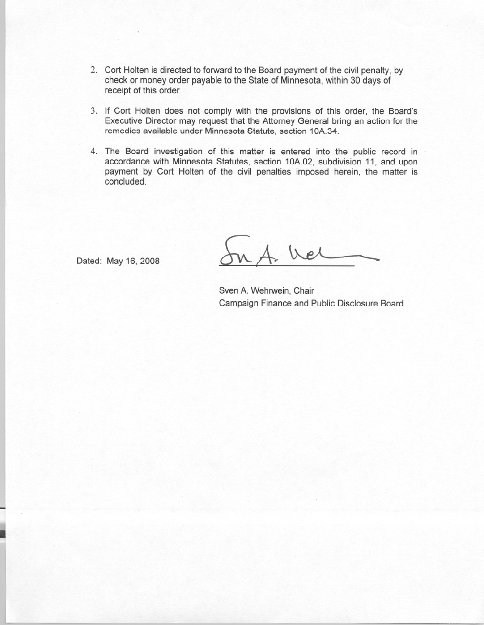- 2. Cort Holten is directed to forward to the Board payment of the civil penalty, by check or money order payable to the State of Minnesota, within 30 days of receipt of this order
- 3. If Cort Holten does not comply with the provisions of this order, the Board's Executive Director may request that the Attorney General bring an action for the remedies available under Minnesota Statute, section 10A.34.
- 4. The Board investigation of this matter is entered into the public record in accordance with Minnesota Statutes, section 10A.02, subdivision 11, and upon payment by Cort Holten of the civil penalties imposed herein, the matter is concluded.

Dated: May 16, 2008

We

Sven A. Wehrwein, Chair Campaign Finance and Public Disclosure Board